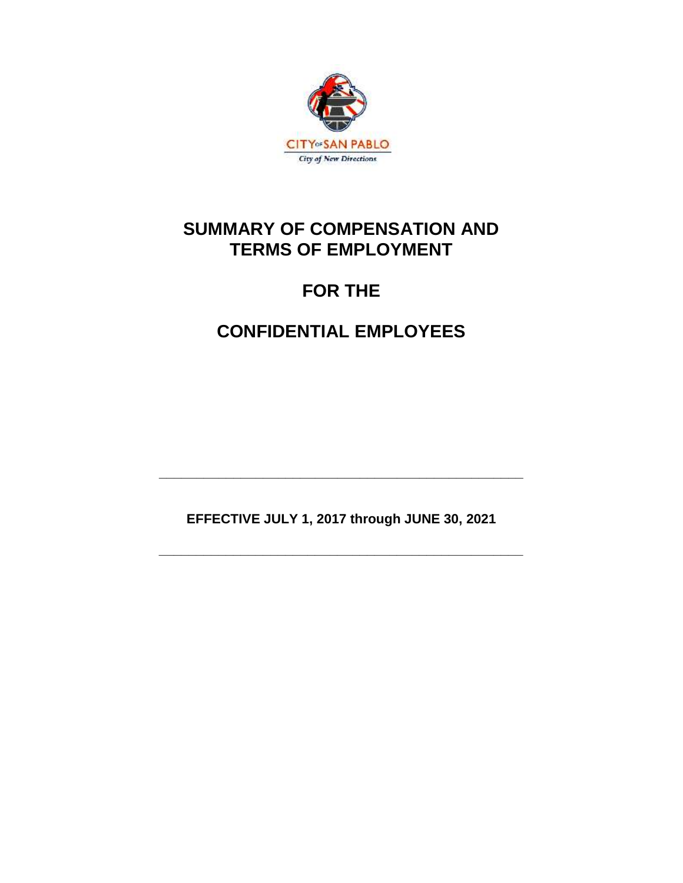

## **SUMMARY OF COMPENSATION AND TERMS OF EMPLOYMENT**

# **FOR THE**

# **CONFIDENTIAL EMPLOYEES**

**EFFECTIVE JULY 1, 2017 through JUNE 30, 2021**

**\_\_\_\_\_\_\_\_\_\_\_\_\_\_\_\_\_\_\_\_\_\_\_\_\_\_\_\_\_\_\_\_\_\_\_\_\_\_\_\_\_\_\_\_\_\_\_\_\_**

**\_\_\_\_\_\_\_\_\_\_\_\_\_\_\_\_\_\_\_\_\_\_\_\_\_\_\_\_\_\_\_\_\_\_\_\_\_\_\_\_\_\_\_\_\_\_\_\_\_**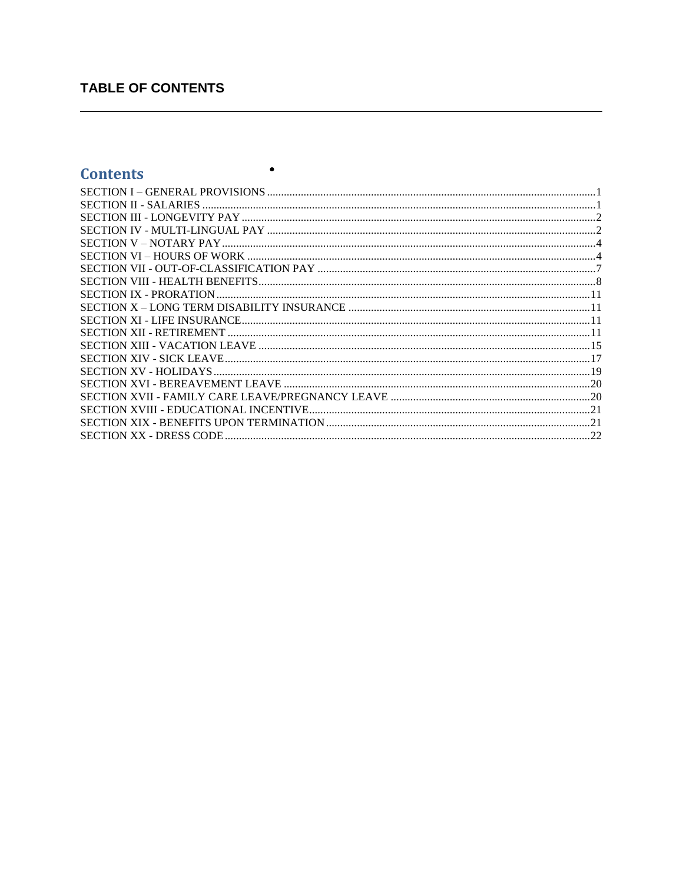## **TABLE OF CONTENTS**

## **Contents**

| I |
|---|
|---|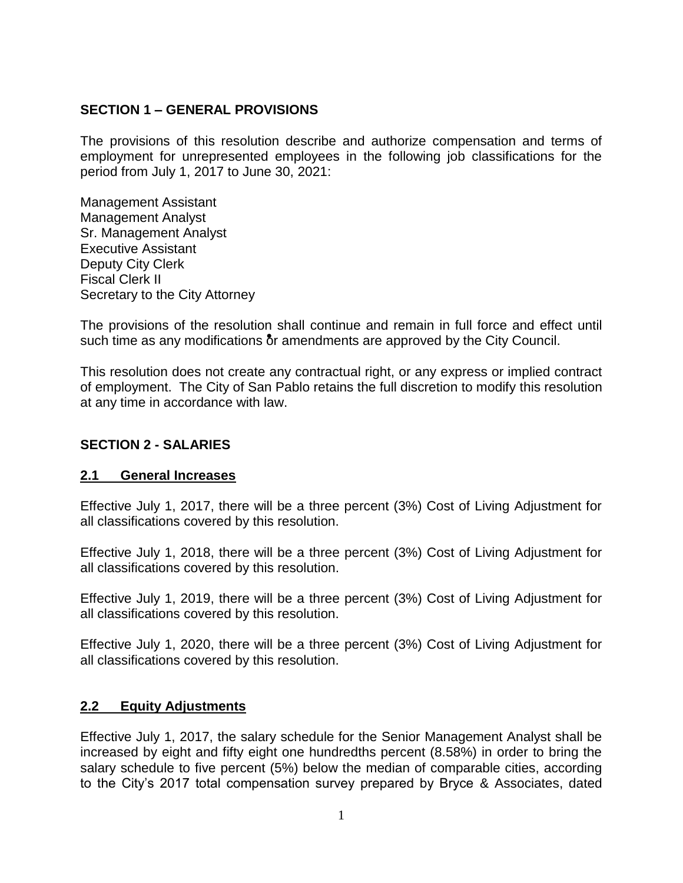### <span id="page-2-0"></span>**SECTION 1 – GENERAL PROVISIONS**

The provisions of this resolution describe and authorize compensation and terms of employment for unrepresented employees in the following job classifications for the period from July 1, 2017 to June 30, 2021:

Management Assistant Management Analyst Sr. Management Analyst Executive Assistant Deputy City Clerk Fiscal Clerk II Secretary to the City Attorney

The provisions of the resolution shall continue and remain in full force and effect until such time as any modifications  $\delta r$  amendments are approved by the City Council.

This resolution does not create any contractual right, or any express or implied contract of employment. The City of San Pablo retains the full discretion to modify this resolution at any time in accordance with law.

## <span id="page-2-1"></span>**SECTION 2 - SALARIES**

#### **2.1 General Increases**

Effective July 1, 2017, there will be a three percent (3%) Cost of Living Adjustment for all classifications covered by this resolution.

Effective July 1, 2018, there will be a three percent (3%) Cost of Living Adjustment for all classifications covered by this resolution.

Effective July 1, 2019, there will be a three percent (3%) Cost of Living Adjustment for all classifications covered by this resolution.

Effective July 1, 2020, there will be a three percent (3%) Cost of Living Adjustment for all classifications covered by this resolution.

#### **2.2 Equity Adjustments**

Effective July 1, 2017, the salary schedule for the Senior Management Analyst shall be increased by eight and fifty eight one hundredths percent (8.58%) in order to bring the salary schedule to five percent (5%) below the median of comparable cities, according to the City's 2017 total compensation survey prepared by Bryce & Associates, dated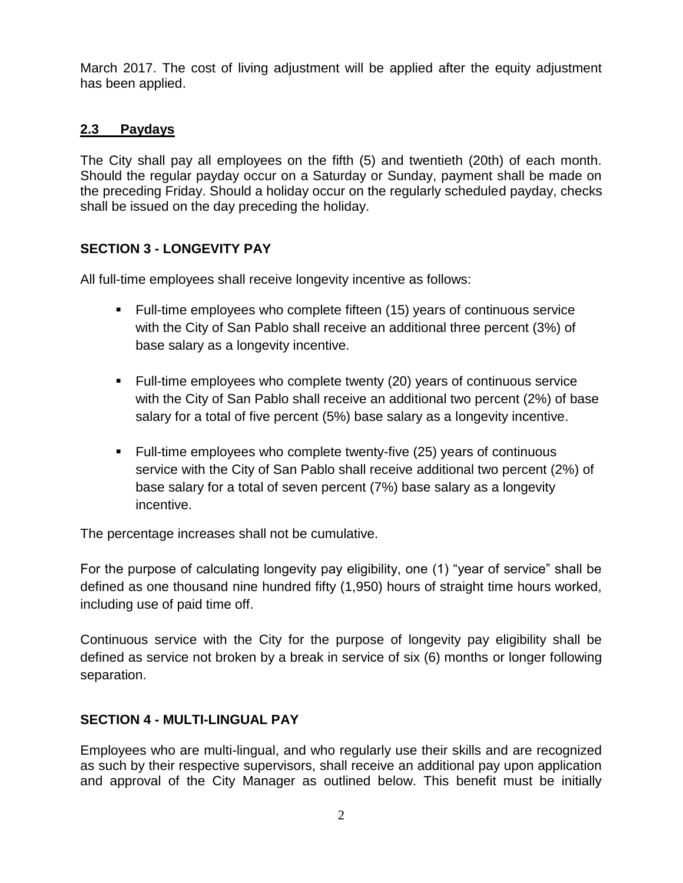March 2017. The cost of living adjustment will be applied after the equity adjustment has been applied.

## **2.3 Paydays**

The City shall pay all employees on the fifth (5) and twentieth (20th) of each month. Should the regular payday occur on a Saturday or Sunday, payment shall be made on the preceding Friday. Should a holiday occur on the regularly scheduled payday, checks shall be issued on the day preceding the holiday.

## <span id="page-3-0"></span>**SECTION 3 - LONGEVITY PAY**

All full-time employees shall receive longevity incentive as follows:

- Full-time employees who complete fifteen (15) years of continuous service with the City of San Pablo shall receive an additional three percent (3%) of base salary as a longevity incentive.
- Full-time employees who complete twenty (20) years of continuous service with the City of San Pablo shall receive an additional two percent (2%) of base salary for a total of five percent (5%) base salary as a longevity incentive.
- Full-time employees who complete twenty-five (25) years of continuous service with the City of San Pablo shall receive additional two percent (2%) of base salary for a total of seven percent (7%) base salary as a longevity incentive.

The percentage increases shall not be cumulative.

For the purpose of calculating longevity pay eligibility, one (1) "year of service" shall be defined as one thousand nine hundred fifty (1,950) hours of straight time hours worked, including use of paid time off.

Continuous service with the City for the purpose of longevity pay eligibility shall be defined as service not broken by a break in service of six (6) months or longer following separation.

#### <span id="page-3-1"></span>**SECTION 4 - MULTI-LINGUAL PAY**

Employees who are multi-lingual, and who regularly use their skills and are recognized as such by their respective supervisors, shall receive an additional pay upon application and approval of the City Manager as outlined below. This benefit must be initially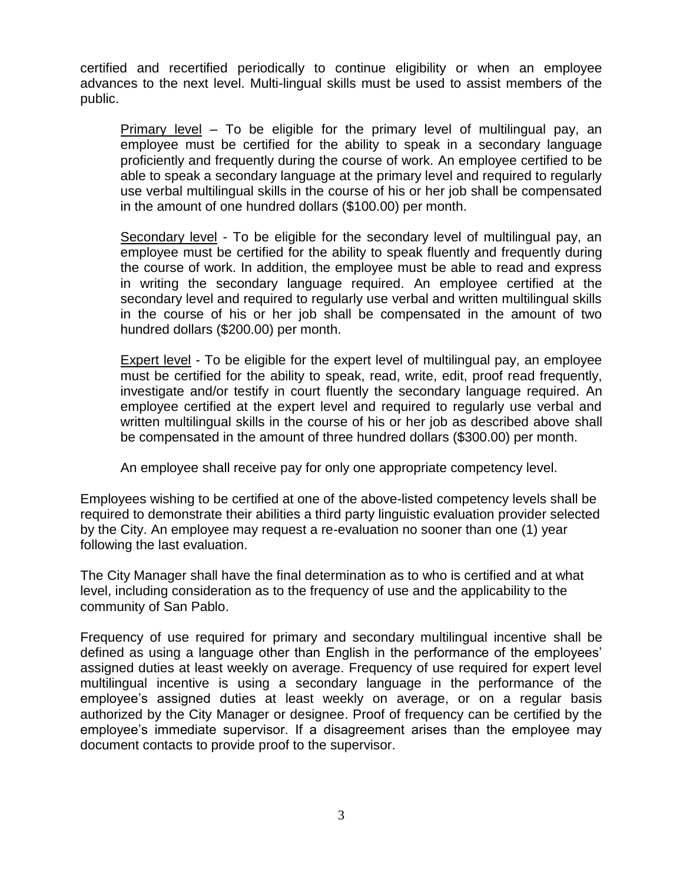certified and recertified periodically to continue eligibility or when an employee advances to the next level. Multi-lingual skills must be used to assist members of the public.

Primary level – To be eligible for the primary level of multilingual pay, an employee must be certified for the ability to speak in a secondary language proficiently and frequently during the course of work. An employee certified to be able to speak a secondary language at the primary level and required to regularly use verbal multilingual skills in the course of his or her job shall be compensated in the amount of one hundred dollars (\$100.00) per month.

Secondary level - To be eligible for the secondary level of multilingual pay, an employee must be certified for the ability to speak fluently and frequently during the course of work. In addition, the employee must be able to read and express in writing the secondary language required. An employee certified at the secondary level and required to regularly use verbal and written multilingual skills in the course of his or her job shall be compensated in the amount of two hundred dollars (\$200.00) per month.

Expert level - To be eligible for the expert level of multilingual pay, an employee must be certified for the ability to speak, read, write, edit, proof read frequently, investigate and/or testify in court fluently the secondary language required. An employee certified at the expert level and required to regularly use verbal and written multilingual skills in the course of his or her job as described above shall be compensated in the amount of three hundred dollars (\$300.00) per month.

An employee shall receive pay for only one appropriate competency level.

Employees wishing to be certified at one of the above-listed competency levels shall be required to demonstrate their abilities a third party linguistic evaluation provider selected by the City. An employee may request a re-evaluation no sooner than one (1) year following the last evaluation.

The City Manager shall have the final determination as to who is certified and at what level, including consideration as to the frequency of use and the applicability to the community of San Pablo.

Frequency of use required for primary and secondary multilingual incentive shall be defined as using a language other than English in the performance of the employees' assigned duties at least weekly on average. Frequency of use required for expert level multilingual incentive is using a secondary language in the performance of the employee's assigned duties at least weekly on average, or on a regular basis authorized by the City Manager or designee. Proof of frequency can be certified by the employee's immediate supervisor. If a disagreement arises than the employee may document contacts to provide proof to the supervisor.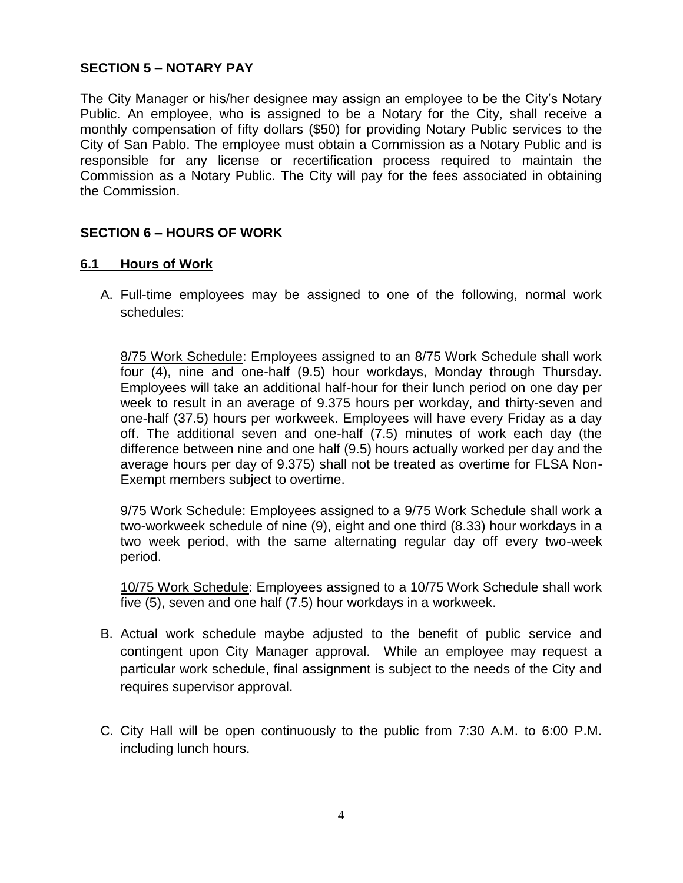## <span id="page-5-0"></span>**SECTION 5 – NOTARY PAY**

The City Manager or his/her designee may assign an employee to be the City's Notary Public. An employee, who is assigned to be a Notary for the City, shall receive a monthly compensation of fifty dollars (\$50) for providing Notary Public services to the City of San Pablo. The employee must obtain a Commission as a Notary Public and is responsible for any license or recertification process required to maintain the Commission as a Notary Public. The City will pay for the fees associated in obtaining the Commission.

## <span id="page-5-1"></span>**SECTION 6 – HOURS OF WORK**

#### **6.1 Hours of Work**

A. Full-time employees may be assigned to one of the following, normal work schedules:

8/75 Work Schedule: Employees assigned to an 8/75 Work Schedule shall work four (4), nine and one-half (9.5) hour workdays, Monday through Thursday. Employees will take an additional half-hour for their lunch period on one day per week to result in an average of 9.375 hours per workday, and thirty-seven and one-half (37.5) hours per workweek. Employees will have every Friday as a day off. The additional seven and one-half (7.5) minutes of work each day (the difference between nine and one half (9.5) hours actually worked per day and the average hours per day of 9.375) shall not be treated as overtime for FLSA Non-Exempt members subject to overtime.

9/75 Work Schedule: Employees assigned to a 9/75 Work Schedule shall work a two-workweek schedule of nine (9), eight and one third (8.33) hour workdays in a two week period, with the same alternating regular day off every two-week period.

10/75 Work Schedule: Employees assigned to a 10/75 Work Schedule shall work five (5), seven and one half (7.5) hour workdays in a workweek.

- B. Actual work schedule maybe adjusted to the benefit of public service and contingent upon City Manager approval. While an employee may request a particular work schedule, final assignment is subject to the needs of the City and requires supervisor approval.
- C. City Hall will be open continuously to the public from 7:30 A.M. to 6:00 P.M. including lunch hours.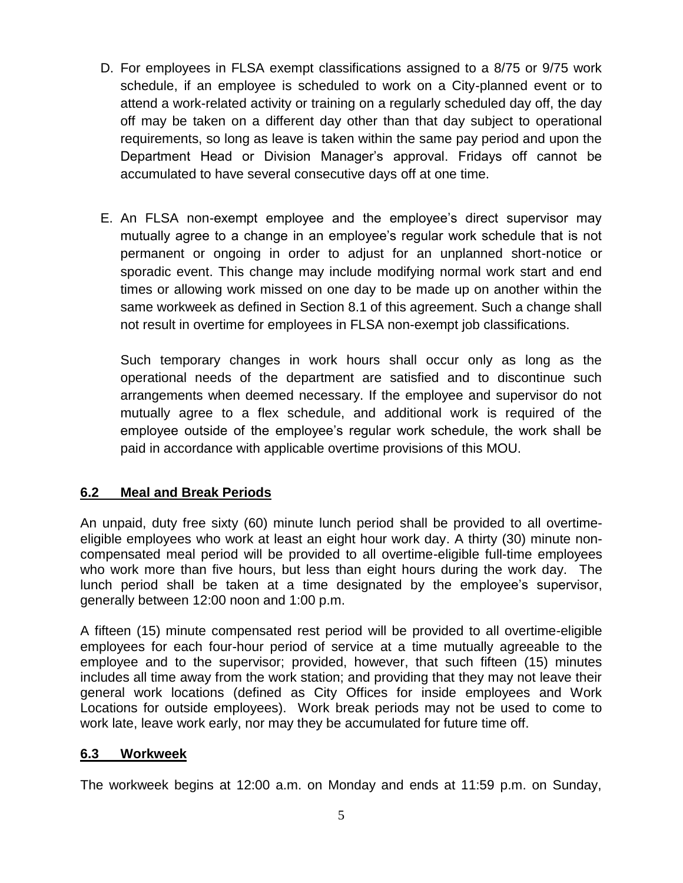- D. For employees in FLSA exempt classifications assigned to a 8/75 or 9/75 work schedule, if an employee is scheduled to work on a City-planned event or to attend a work-related activity or training on a regularly scheduled day off, the day off may be taken on a different day other than that day subject to operational requirements, so long as leave is taken within the same pay period and upon the Department Head or Division Manager's approval. Fridays off cannot be accumulated to have several consecutive days off at one time.
- E. An FLSA non-exempt employee and the employee's direct supervisor may mutually agree to a change in an employee's regular work schedule that is not permanent or ongoing in order to adjust for an unplanned short-notice or sporadic event. This change may include modifying normal work start and end times or allowing work missed on one day to be made up on another within the same workweek as defined in Section 8.1 of this agreement. Such a change shall not result in overtime for employees in FLSA non-exempt job classifications.

Such temporary changes in work hours shall occur only as long as the operational needs of the department are satisfied and to discontinue such arrangements when deemed necessary. If the employee and supervisor do not mutually agree to a flex schedule, and additional work is required of the employee outside of the employee's regular work schedule, the work shall be paid in accordance with applicable overtime provisions of this MOU.

## **6.2 Meal and Break Periods**

An unpaid, duty free sixty (60) minute lunch period shall be provided to all overtimeeligible employees who work at least an eight hour work day. A thirty (30) minute noncompensated meal period will be provided to all overtime-eligible full-time employees who work more than five hours, but less than eight hours during the work day. The lunch period shall be taken at a time designated by the employee's supervisor, generally between 12:00 noon and 1:00 p.m.

A fifteen (15) minute compensated rest period will be provided to all overtime-eligible employees for each four-hour period of service at a time mutually agreeable to the employee and to the supervisor; provided, however, that such fifteen (15) minutes includes all time away from the work station; and providing that they may not leave their general work locations (defined as City Offices for inside employees and Work Locations for outside employees). Work break periods may not be used to come to work late, leave work early, nor may they be accumulated for future time off.

## **6.3 Workweek**

The workweek begins at 12:00 a.m. on Monday and ends at 11:59 p.m. on Sunday,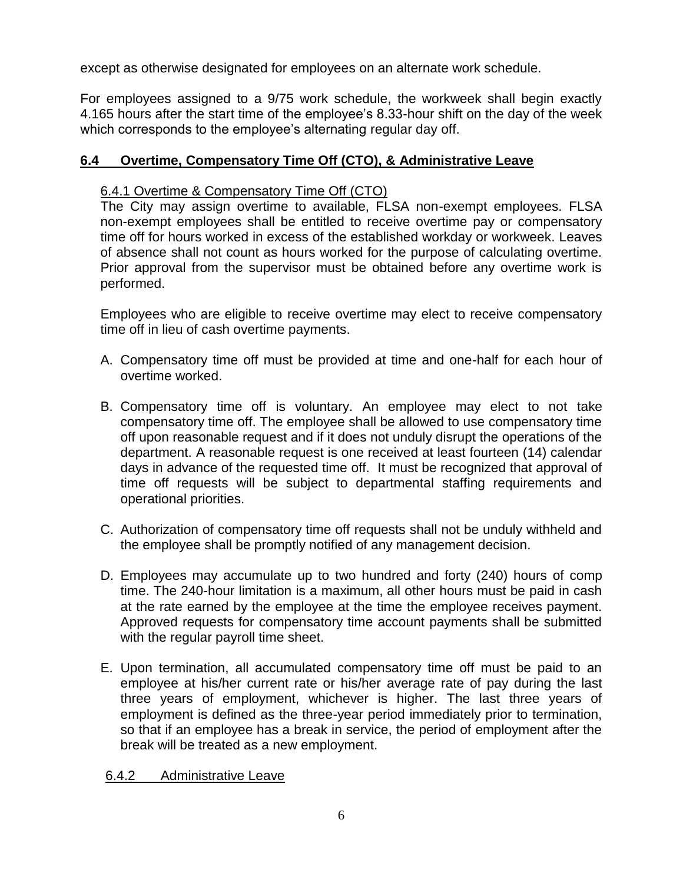except as otherwise designated for employees on an alternate work schedule.

For employees assigned to a 9/75 work schedule, the workweek shall begin exactly 4.165 hours after the start time of the employee's 8.33-hour shift on the day of the week which corresponds to the employee's alternating regular day off.

## **6.4 Overtime, Compensatory Time Off (CTO), & Administrative Leave**

### 6.4.1 Overtime & Compensatory Time Off (CTO)

The City may assign overtime to available, FLSA non-exempt employees. FLSA non-exempt employees shall be entitled to receive overtime pay or compensatory time off for hours worked in excess of the established workday or workweek. Leaves of absence shall not count as hours worked for the purpose of calculating overtime. Prior approval from the supervisor must be obtained before any overtime work is performed.

Employees who are eligible to receive overtime may elect to receive compensatory time off in lieu of cash overtime payments.

- A. Compensatory time off must be provided at time and one-half for each hour of overtime worked.
- B. Compensatory time off is voluntary. An employee may elect to not take compensatory time off. The employee shall be allowed to use compensatory time off upon reasonable request and if it does not unduly disrupt the operations of the department. A reasonable request is one received at least fourteen (14) calendar days in advance of the requested time off. It must be recognized that approval of time off requests will be subject to departmental staffing requirements and operational priorities.
- C. Authorization of compensatory time off requests shall not be unduly withheld and the employee shall be promptly notified of any management decision.
- D. Employees may accumulate up to two hundred and forty (240) hours of comp time. The 240-hour limitation is a maximum, all other hours must be paid in cash at the rate earned by the employee at the time the employee receives payment. Approved requests for compensatory time account payments shall be submitted with the regular payroll time sheet.
- E. Upon termination, all accumulated compensatory time off must be paid to an employee at his/her current rate or his/her average rate of pay during the last three years of employment, whichever is higher. The last three years of employment is defined as the three-year period immediately prior to termination, so that if an employee has a break in service, the period of employment after the break will be treated as a new employment.

6.4.2 Administrative Leave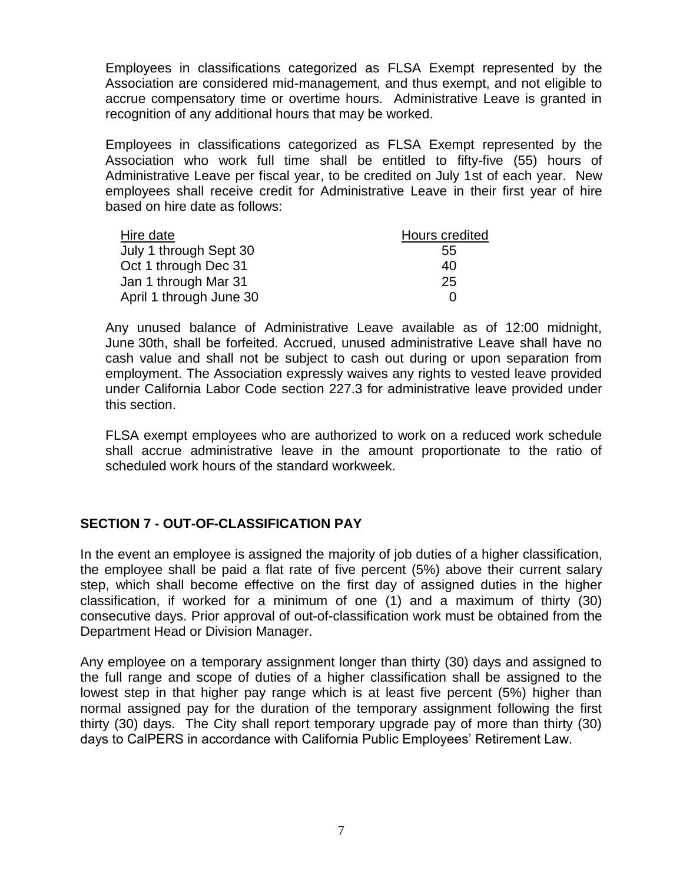Employees in classifications categorized as FLSA Exempt represented by the Association are considered mid-management, and thus exempt, and not eligible to accrue compensatory time or overtime hours. Administrative Leave is granted in recognition of any additional hours that may be worked.

Employees in classifications categorized as FLSA Exempt represented by the Association who work full time shall be entitled to fifty-five (55) hours of Administrative Leave per fiscal year, to be credited on July 1st of each year. New employees shall receive credit for Administrative Leave in their first year of hire based on hire date as follows:

| Hire date               | Hours credited |
|-------------------------|----------------|
| July 1 through Sept 30  | 55             |
| Oct 1 through Dec 31    | 40             |
| Jan 1 through Mar 31    | 25             |
| April 1 through June 30 | $\mathbf{U}$   |

Any unused balance of Administrative Leave available as of 12:00 midnight, June 30th, shall be forfeited. Accrued, unused administrative Leave shall have no cash value and shall not be subject to cash out during or upon separation from employment. The Association expressly waives any rights to vested leave provided under California Labor Code section 227.3 for administrative leave provided under this section.

FLSA exempt employees who are authorized to work on a reduced work schedule shall accrue administrative leave in the amount proportionate to the ratio of scheduled work hours of the standard workweek.

## <span id="page-8-0"></span>**SECTION 7 - OUT-OF-CLASSIFICATION PAY**

In the event an employee is assigned the majority of job duties of a higher classification, the employee shall be paid a flat rate of five percent (5%) above their current salary step, which shall become effective on the first day of assigned duties in the higher classification, if worked for a minimum of one (1) and a maximum of thirty (30) consecutive days. Prior approval of out-of-classification work must be obtained from the Department Head or Division Manager.

Any employee on a temporary assignment longer than thirty (30) days and assigned to the full range and scope of duties of a higher classification shall be assigned to the lowest step in that higher pay range which is at least five percent (5%) higher than normal assigned pay for the duration of the temporary assignment following the first thirty (30) days. The City shall report temporary upgrade pay of more than thirty (30) days to CalPERS in accordance with California Public Employees' Retirement Law.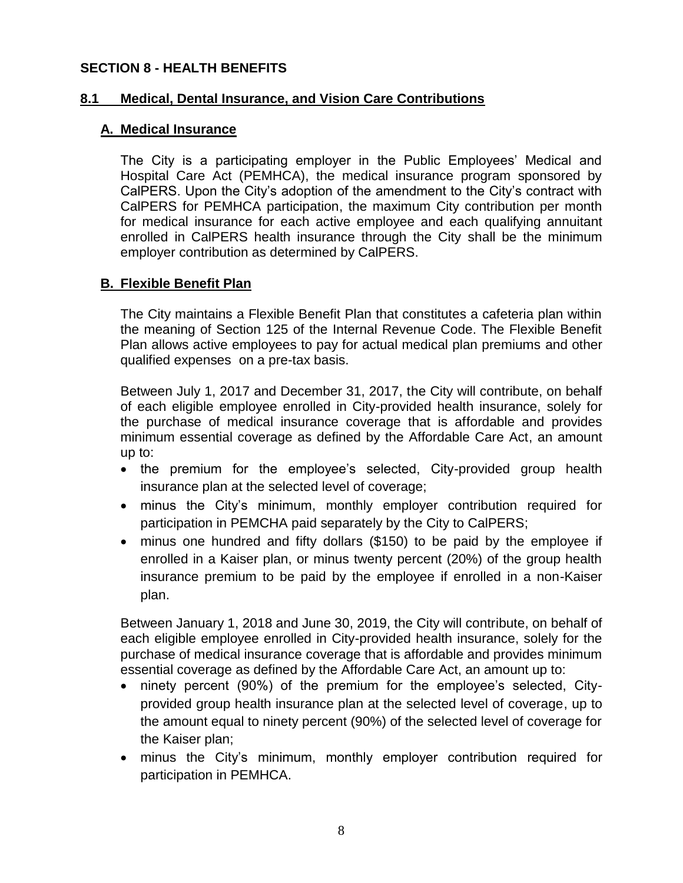#### <span id="page-9-0"></span>**SECTION 8 - HEALTH BENEFITS**

#### **8.1 Medical, Dental Insurance, and Vision Care Contributions**

#### **A. Medical Insurance**

The City is a participating employer in the Public Employees' Medical and Hospital Care Act (PEMHCA), the medical insurance program sponsored by CalPERS. Upon the City's adoption of the amendment to the City's contract with CalPERS for PEMHCA participation, the maximum City contribution per month for medical insurance for each active employee and each qualifying annuitant enrolled in CalPERS health insurance through the City shall be the minimum employer contribution as determined by CalPERS.

## **B. Flexible Benefit Plan**

The City maintains a Flexible Benefit Plan that constitutes a cafeteria plan within the meaning of Section 125 of the Internal Revenue Code. The Flexible Benefit Plan allows active employees to pay for actual medical plan premiums and other qualified expenses on a pre-tax basis.

Between July 1, 2017 and December 31, 2017, the City will contribute, on behalf of each eligible employee enrolled in City-provided health insurance, solely for the purchase of medical insurance coverage that is affordable and provides minimum essential coverage as defined by the Affordable Care Act, an amount up to:

- the premium for the employee's selected, City-provided group health insurance plan at the selected level of coverage;
- minus the City's minimum, monthly employer contribution required for participation in PEMCHA paid separately by the City to CalPERS;
- minus one hundred and fifty dollars (\$150) to be paid by the employee if enrolled in a Kaiser plan, or minus twenty percent (20%) of the group health insurance premium to be paid by the employee if enrolled in a non-Kaiser plan.

Between January 1, 2018 and June 30, 2019, the City will contribute, on behalf of each eligible employee enrolled in City-provided health insurance, solely for the purchase of medical insurance coverage that is affordable and provides minimum essential coverage as defined by the Affordable Care Act, an amount up to:

- ninety percent (90%) of the premium for the employee's selected, Cityprovided group health insurance plan at the selected level of coverage, up to the amount equal to ninety percent (90%) of the selected level of coverage for the Kaiser plan;
- minus the City's minimum, monthly employer contribution required for participation in PEMHCA.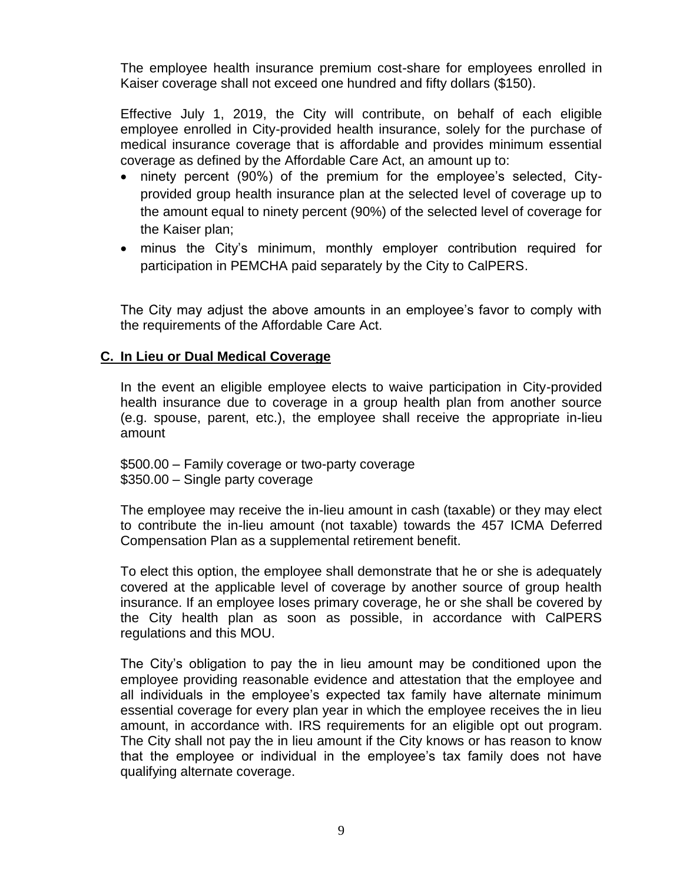The employee health insurance premium cost-share for employees enrolled in Kaiser coverage shall not exceed one hundred and fifty dollars (\$150).

Effective July 1, 2019, the City will contribute, on behalf of each eligible employee enrolled in City-provided health insurance, solely for the purchase of medical insurance coverage that is affordable and provides minimum essential coverage as defined by the Affordable Care Act, an amount up to:

- ninety percent (90%) of the premium for the employee's selected, Cityprovided group health insurance plan at the selected level of coverage up to the amount equal to ninety percent (90%) of the selected level of coverage for the Kaiser plan;
- minus the City's minimum, monthly employer contribution required for participation in PEMCHA paid separately by the City to CalPERS.

The City may adjust the above amounts in an employee's favor to comply with the requirements of the Affordable Care Act.

#### **C. In Lieu or Dual Medical Coverage**

In the event an eligible employee elects to waive participation in City-provided health insurance due to coverage in a group health plan from another source (e.g. spouse, parent, etc.), the employee shall receive the appropriate in-lieu amount

\$500.00 – Family coverage or two-party coverage \$350.00 – Single party coverage

The employee may receive the in-lieu amount in cash (taxable) or they may elect to contribute the in-lieu amount (not taxable) towards the 457 ICMA Deferred Compensation Plan as a supplemental retirement benefit.

To elect this option, the employee shall demonstrate that he or she is adequately covered at the applicable level of coverage by another source of group health insurance. If an employee loses primary coverage, he or she shall be covered by the City health plan as soon as possible, in accordance with CalPERS regulations and this MOU.

The City's obligation to pay the in lieu amount may be conditioned upon the employee providing reasonable evidence and attestation that the employee and all individuals in the employee's expected tax family have alternate minimum essential coverage for every plan year in which the employee receives the in lieu amount, in accordance with. IRS requirements for an eligible opt out program. The City shall not pay the in lieu amount if the City knows or has reason to know that the employee or individual in the employee's tax family does not have qualifying alternate coverage.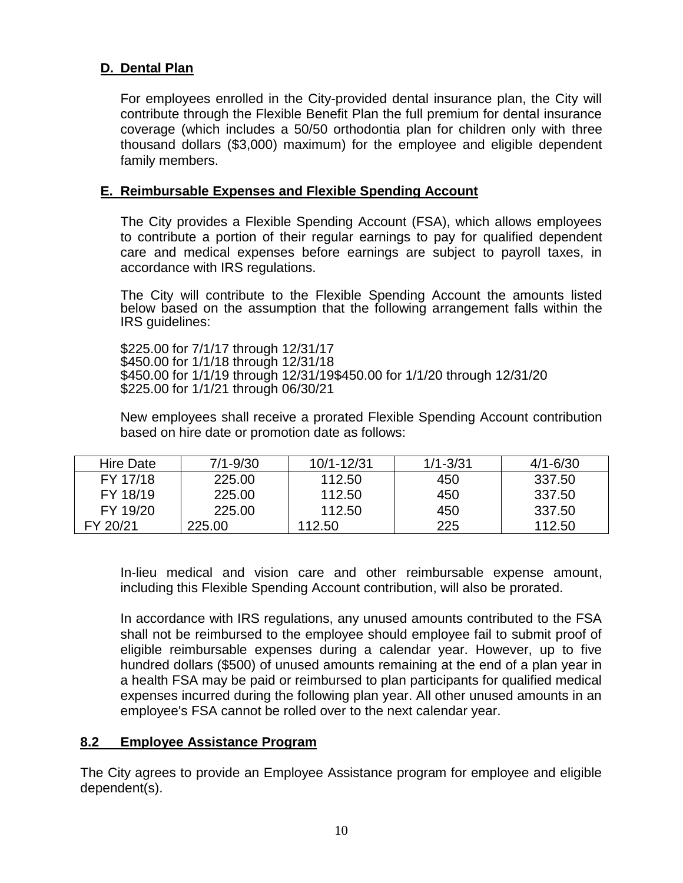## **D. Dental Plan**

For employees enrolled in the City-provided dental insurance plan, the City will contribute through the Flexible Benefit Plan the full premium for dental insurance coverage (which includes a 50/50 orthodontia plan for children only with three thousand dollars (\$3,000) maximum) for the employee and eligible dependent family members.

#### **E. Reimbursable Expenses and Flexible Spending Account**

The City provides a Flexible Spending Account (FSA), which allows employees to contribute a portion of their regular earnings to pay for qualified dependent care and medical expenses before earnings are subject to payroll taxes, in accordance with IRS regulations.

The City will contribute to the Flexible Spending Account the amounts listed below based on the assumption that the following arrangement falls within the IRS guidelines:

\$225.00 for 7/1/17 through 12/31/17 \$450.00 for 1/1/18 through 12/31/18 \$450.00 for 1/1/19 through 12/31/19\$450.00 for 1/1/20 through 12/31/20 \$225.00 for 1/1/21 through 06/30/21

New employees shall receive a prorated Flexible Spending Account contribution based on hire date or promotion date as follows:

| Hire Date | $7/1 - 9/30$ | 10/1-12/31 | $1/1 - 3/31$ | $4/1 - 6/30$ |
|-----------|--------------|------------|--------------|--------------|
| FY 17/18  | 225.00       | 112.50     | 450          | 337.50       |
| FY 18/19  | 225.00       | 112.50     | 450          | 337.50       |
| FY 19/20  | 225.00       | 112.50     | 450          | 337.50       |
| FY 20/21  | 225.00       | 112.50     | 225          | 112.50       |

In-lieu medical and vision care and other reimbursable expense amount, including this Flexible Spending Account contribution, will also be prorated.

In accordance with IRS regulations, any unused amounts contributed to the FSA shall not be reimbursed to the employee should employee fail to submit proof of eligible reimbursable expenses during a calendar year. However, up to five hundred dollars (\$500) of unused amounts remaining at the end of a plan year in a health FSA may be paid or reimbursed to plan participants for qualified medical expenses incurred during the following plan year. All other unused amounts in an employee's FSA cannot be rolled over to the next calendar year.

#### **8.2 Employee Assistance Program**

The City agrees to provide an Employee Assistance program for employee and eligible dependent(s).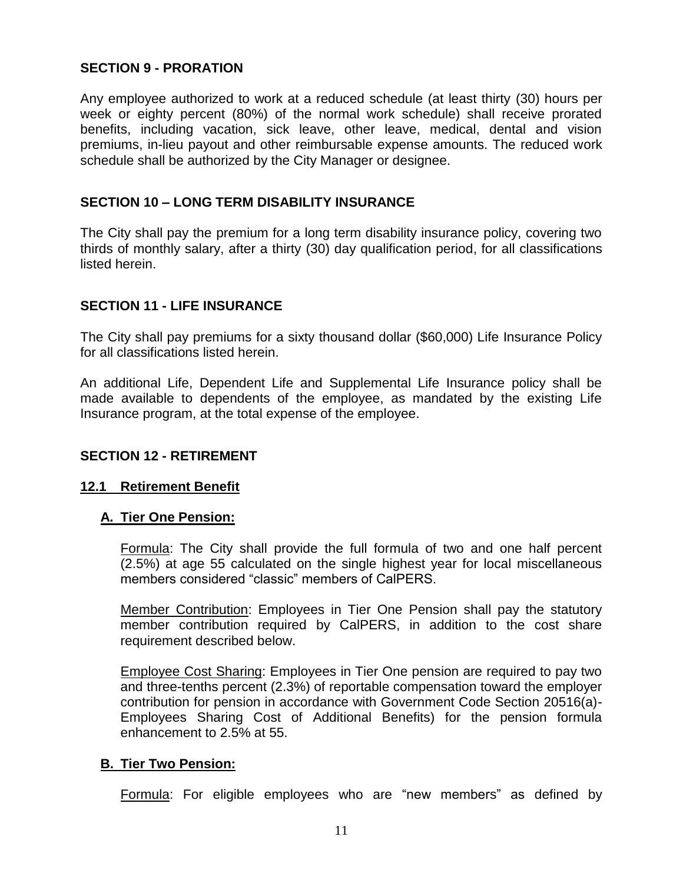## <span id="page-12-0"></span>**SECTION 9 - PRORATION**

Any employee authorized to work at a reduced schedule (at least thirty (30) hours per week or eighty percent (80%) of the normal work schedule) shall receive prorated benefits, including vacation, sick leave, other leave, medical, dental and vision premiums, in-lieu payout and other reimbursable expense amounts. The reduced work schedule shall be authorized by the City Manager or designee.

#### <span id="page-12-1"></span>**SECTION 10 – LONG TERM DISABILITY INSURANCE**

The City shall pay the premium for a long term disability insurance policy, covering two thirds of monthly salary, after a thirty (30) day qualification period, for all classifications listed herein.

## <span id="page-12-2"></span>**SECTION 11 - LIFE INSURANCE**

The City shall pay premiums for a sixty thousand dollar (\$60,000) Life Insurance Policy for all classifications listed herein.

An additional Life, Dependent Life and Supplemental Life Insurance policy shall be made available to dependents of the employee, as mandated by the existing Life Insurance program, at the total expense of the employee.

#### <span id="page-12-3"></span>**SECTION 12 - RETIREMENT**

#### **12.1 Retirement Benefit**

#### **A. Tier One Pension:**

Formula: The City shall provide the full formula of two and one half percent (2.5%) at age 55 calculated on the single highest year for local miscellaneous members considered "classic" members of CalPERS.

Member Contribution: Employees in Tier One Pension shall pay the statutory member contribution required by CalPERS, in addition to the cost share requirement described below.

Employee Cost Sharing: Employees in Tier One pension are required to pay two and three-tenths percent (2.3%) of reportable compensation toward the employer contribution for pension in accordance with Government Code Section 20516(a)- Employees Sharing Cost of Additional Benefits) for the pension formula enhancement to 2.5% at 55.

#### **B. Tier Two Pension:**

Formula: For eligible employees who are "new members" as defined by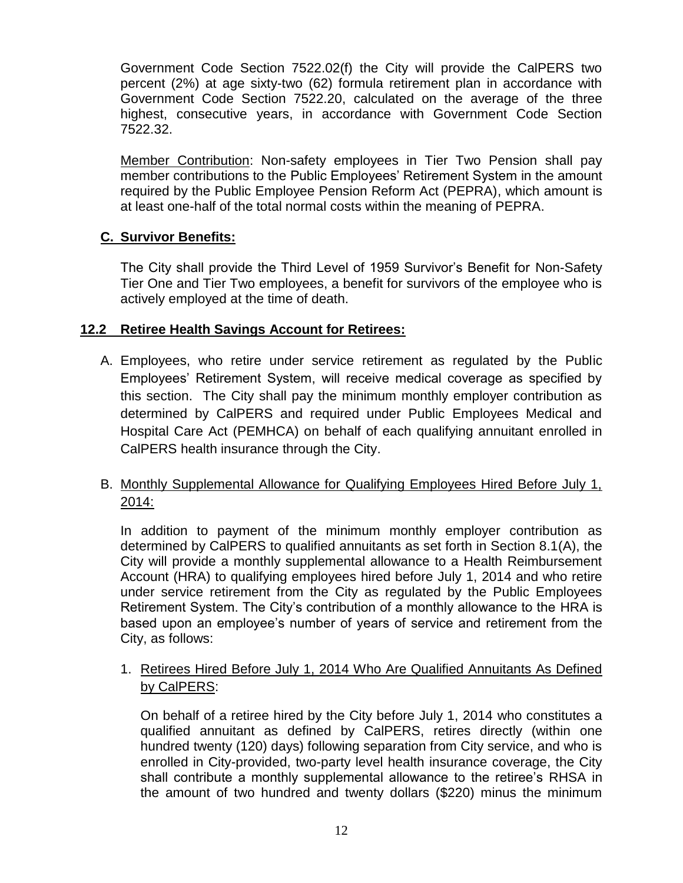Government Code Section 7522.02(f) the City will provide the CalPERS two percent (2%) at age sixty-two (62) formula retirement plan in accordance with Government Code Section 7522.20, calculated on the average of the three highest, consecutive years, in accordance with Government Code Section 7522.32.

Member Contribution: Non-safety employees in Tier Two Pension shall pay member contributions to the Public Employees' Retirement System in the amount required by the Public Employee Pension Reform Act (PEPRA), which amount is at least one-half of the total normal costs within the meaning of PEPRA.

## **C. Survivor Benefits:**

The City shall provide the Third Level of 1959 Survivor's Benefit for Non-Safety Tier One and Tier Two employees, a benefit for survivors of the employee who is actively employed at the time of death.

## **12.2 Retiree Health Savings Account for Retirees:**

A. Employees, who retire under service retirement as regulated by the Public Employees' Retirement System, will receive medical coverage as specified by this section. The City shall pay the minimum monthly employer contribution as determined by CalPERS and required under Public Employees Medical and Hospital Care Act (PEMHCA) on behalf of each qualifying annuitant enrolled in CalPERS health insurance through the City.

## B. Monthly Supplemental Allowance for Qualifying Employees Hired Before July 1, 2014:

In addition to payment of the minimum monthly employer contribution as determined by CalPERS to qualified annuitants as set forth in Section 8.1(A), the City will provide a monthly supplemental allowance to a Health Reimbursement Account (HRA) to qualifying employees hired before July 1, 2014 and who retire under service retirement from the City as regulated by the Public Employees Retirement System. The City's contribution of a monthly allowance to the HRA is based upon an employee's number of years of service and retirement from the City, as follows:

1. Retirees Hired Before July 1, 2014 Who Are Qualified Annuitants As Defined by CalPERS:

On behalf of a retiree hired by the City before July 1, 2014 who constitutes a qualified annuitant as defined by CalPERS, retires directly (within one hundred twenty (120) days) following separation from City service, and who is enrolled in City-provided, two-party level health insurance coverage, the City shall contribute a monthly supplemental allowance to the retiree's RHSA in the amount of two hundred and twenty dollars (\$220) minus the minimum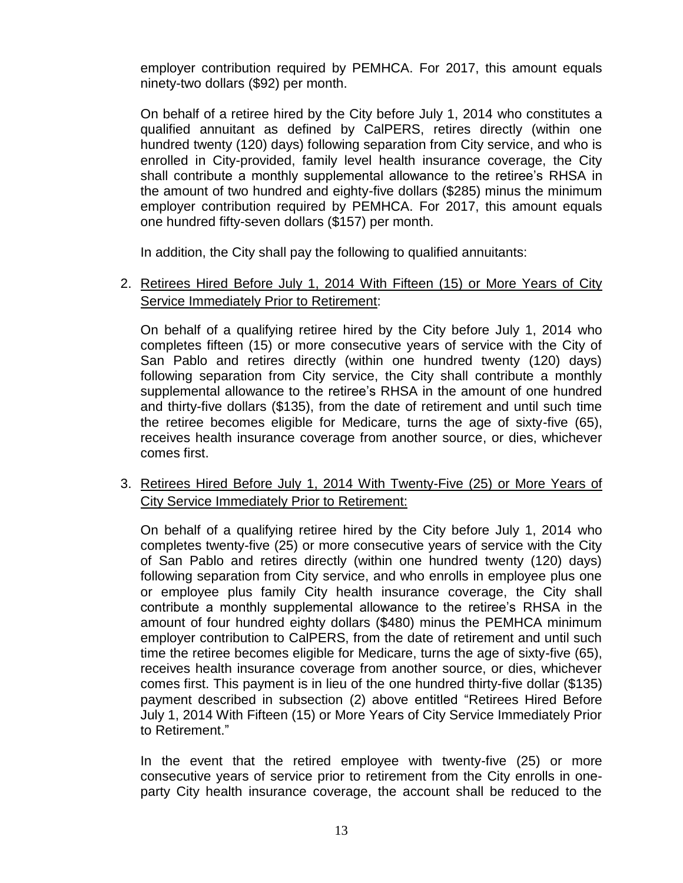employer contribution required by PEMHCA. For 2017, this amount equals ninety-two dollars (\$92) per month.

On behalf of a retiree hired by the City before July 1, 2014 who constitutes a qualified annuitant as defined by CalPERS, retires directly (within one hundred twenty (120) days) following separation from City service, and who is enrolled in City-provided, family level health insurance coverage, the City shall contribute a monthly supplemental allowance to the retiree's RHSA in the amount of two hundred and eighty-five dollars (\$285) minus the minimum employer contribution required by PEMHCA. For 2017, this amount equals one hundred fifty-seven dollars (\$157) per month.

In addition, the City shall pay the following to qualified annuitants:

### 2. Retirees Hired Before July 1, 2014 With Fifteen (15) or More Years of City Service Immediately Prior to Retirement:

On behalf of a qualifying retiree hired by the City before July 1, 2014 who completes fifteen (15) or more consecutive years of service with the City of San Pablo and retires directly (within one hundred twenty (120) days) following separation from City service, the City shall contribute a monthly supplemental allowance to the retiree's RHSA in the amount of one hundred and thirty-five dollars (\$135), from the date of retirement and until such time the retiree becomes eligible for Medicare, turns the age of sixty-five (65), receives health insurance coverage from another source, or dies, whichever comes first.

## 3. Retirees Hired Before July 1, 2014 With Twenty-Five (25) or More Years of City Service Immediately Prior to Retirement:

On behalf of a qualifying retiree hired by the City before July 1, 2014 who completes twenty-five (25) or more consecutive years of service with the City of San Pablo and retires directly (within one hundred twenty (120) days) following separation from City service, and who enrolls in employee plus one or employee plus family City health insurance coverage, the City shall contribute a monthly supplemental allowance to the retiree's RHSA in the amount of four hundred eighty dollars (\$480) minus the PEMHCA minimum employer contribution to CalPERS, from the date of retirement and until such time the retiree becomes eligible for Medicare, turns the age of sixty-five (65), receives health insurance coverage from another source, or dies, whichever comes first. This payment is in lieu of the one hundred thirty-five dollar (\$135) payment described in subsection (2) above entitled "Retirees Hired Before July 1, 2014 With Fifteen (15) or More Years of City Service Immediately Prior to Retirement."

In the event that the retired employee with twenty-five (25) or more consecutive years of service prior to retirement from the City enrolls in oneparty City health insurance coverage, the account shall be reduced to the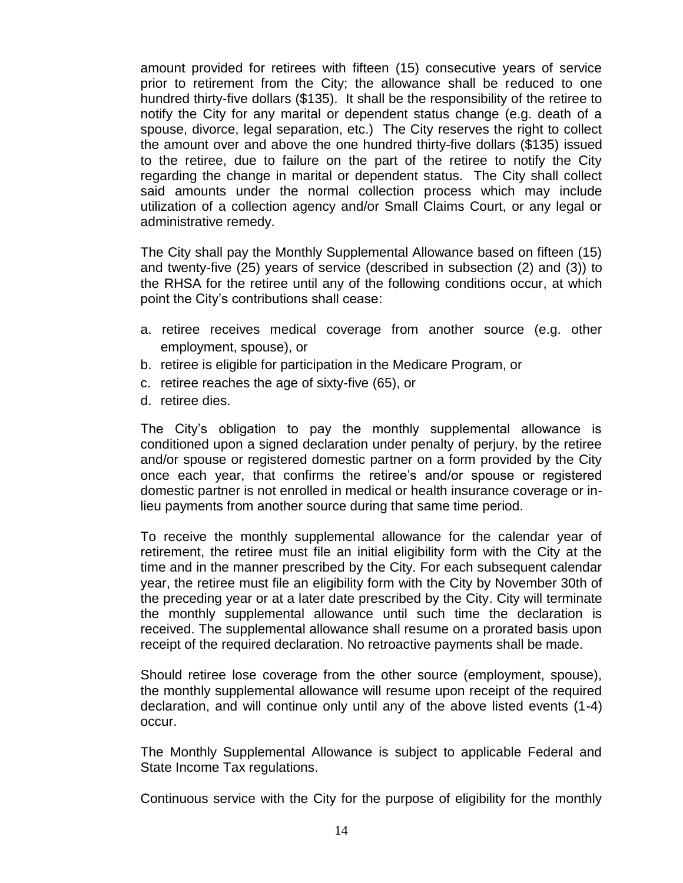amount provided for retirees with fifteen (15) consecutive years of service prior to retirement from the City; the allowance shall be reduced to one hundred thirty-five dollars (\$135). It shall be the responsibility of the retiree to notify the City for any marital or dependent status change (e.g. death of a spouse, divorce, legal separation, etc.) The City reserves the right to collect the amount over and above the one hundred thirty-five dollars (\$135) issued to the retiree, due to failure on the part of the retiree to notify the City regarding the change in marital or dependent status. The City shall collect said amounts under the normal collection process which may include utilization of a collection agency and/or Small Claims Court, or any legal or administrative remedy.

The City shall pay the Monthly Supplemental Allowance based on fifteen (15) and twenty-five (25) years of service (described in subsection (2) and (3)) to the RHSA for the retiree until any of the following conditions occur, at which point the City's contributions shall cease:

- a. retiree receives medical coverage from another source (e.g. other employment, spouse), or
- b. retiree is eligible for participation in the Medicare Program, or
- c. retiree reaches the age of sixty-five (65), or
- d. retiree dies.

The City's obligation to pay the monthly supplemental allowance is conditioned upon a signed declaration under penalty of perjury, by the retiree and/or spouse or registered domestic partner on a form provided by the City once each year, that confirms the retiree's and/or spouse or registered domestic partner is not enrolled in medical or health insurance coverage or inlieu payments from another source during that same time period.

To receive the monthly supplemental allowance for the calendar year of retirement, the retiree must file an initial eligibility form with the City at the time and in the manner prescribed by the City. For each subsequent calendar year, the retiree must file an eligibility form with the City by November 30th of the preceding year or at a later date prescribed by the City. City will terminate the monthly supplemental allowance until such time the declaration is received. The supplemental allowance shall resume on a prorated basis upon receipt of the required declaration. No retroactive payments shall be made.

Should retiree lose coverage from the other source (employment, spouse), the monthly supplemental allowance will resume upon receipt of the required declaration, and will continue only until any of the above listed events (1-4) occur.

The Monthly Supplemental Allowance is subject to applicable Federal and State Income Tax regulations.

Continuous service with the City for the purpose of eligibility for the monthly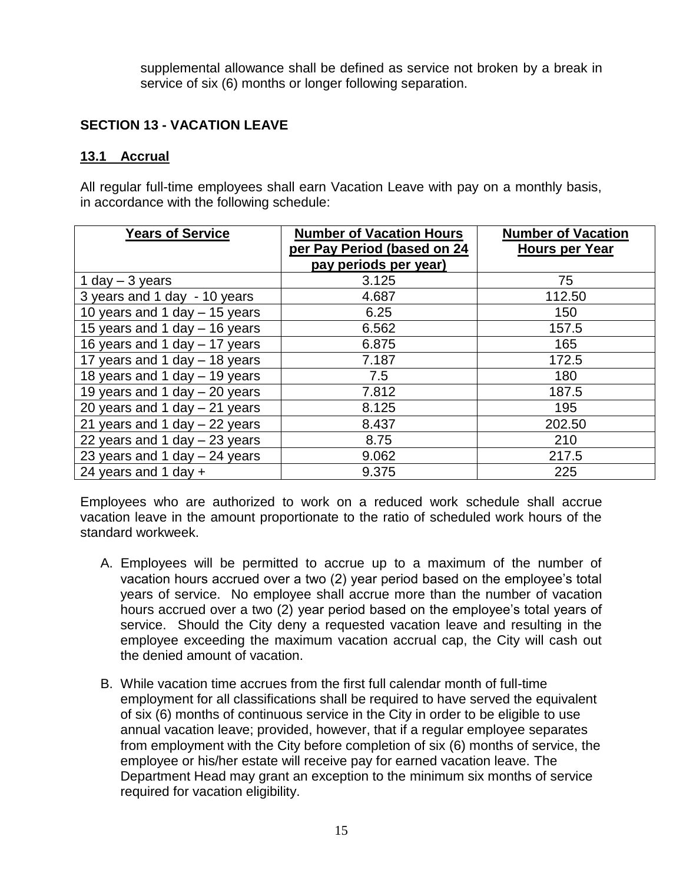supplemental allowance shall be defined as service not broken by a break in service of six (6) months or longer following separation.

## <span id="page-16-0"></span>**SECTION 13 - VACATION LEAVE**

#### **13.1 Accrual**

All regular full-time employees shall earn Vacation Leave with pay on a monthly basis, in accordance with the following schedule:

| <b>Years of Service</b>         | <b>Number of Vacation Hours</b><br>per Pay Period (based on 24<br>pay periods per year) | <b>Number of Vacation</b><br><b>Hours per Year</b> |
|---------------------------------|-----------------------------------------------------------------------------------------|----------------------------------------------------|
| 1 day $-$ 3 years               | 3.125                                                                                   | 75                                                 |
| 3 years and 1 day - 10 years    | 4.687                                                                                   | 112.50                                             |
| 10 years and 1 day - 15 years   | 6.25                                                                                    | 150                                                |
| 15 years and 1 day - 16 years   | 6.562                                                                                   | 157.5                                              |
| 16 years and 1 day - 17 years   | 6.875                                                                                   | 165                                                |
| 17 years and 1 day - 18 years   | 7.187                                                                                   | 172.5                                              |
| 18 years and 1 day - 19 years   | 7.5                                                                                     | 180                                                |
| 19 years and 1 day - 20 years   | 7.812                                                                                   | 187.5                                              |
| 20 years and 1 day $-$ 21 years | 8.125                                                                                   | 195                                                |
| 21 years and 1 day $-$ 22 years | 8.437                                                                                   | 202.50                                             |
| 22 years and 1 day $-$ 23 years | 8.75                                                                                    | 210                                                |
| 23 years and 1 day $-$ 24 years | 9.062                                                                                   | 217.5                                              |
| 24 years and 1 day $+$          | 9.375                                                                                   | 225                                                |

Employees who are authorized to work on a reduced work schedule shall accrue vacation leave in the amount proportionate to the ratio of scheduled work hours of the standard workweek.

- A. Employees will be permitted to accrue up to a maximum of the number of vacation hours accrued over a two (2) year period based on the employee's total years of service. No employee shall accrue more than the number of vacation hours accrued over a two (2) year period based on the employee's total years of service. Should the City deny a requested vacation leave and resulting in the employee exceeding the maximum vacation accrual cap, the City will cash out the denied amount of vacation.
- B. While vacation time accrues from the first full calendar month of full-time employment for all classifications shall be required to have served the equivalent of six (6) months of continuous service in the City in order to be eligible to use annual vacation leave; provided, however, that if a regular employee separates from employment with the City before completion of six (6) months of service, the employee or his/her estate will receive pay for earned vacation leave. The Department Head may grant an exception to the minimum six months of service required for vacation eligibility.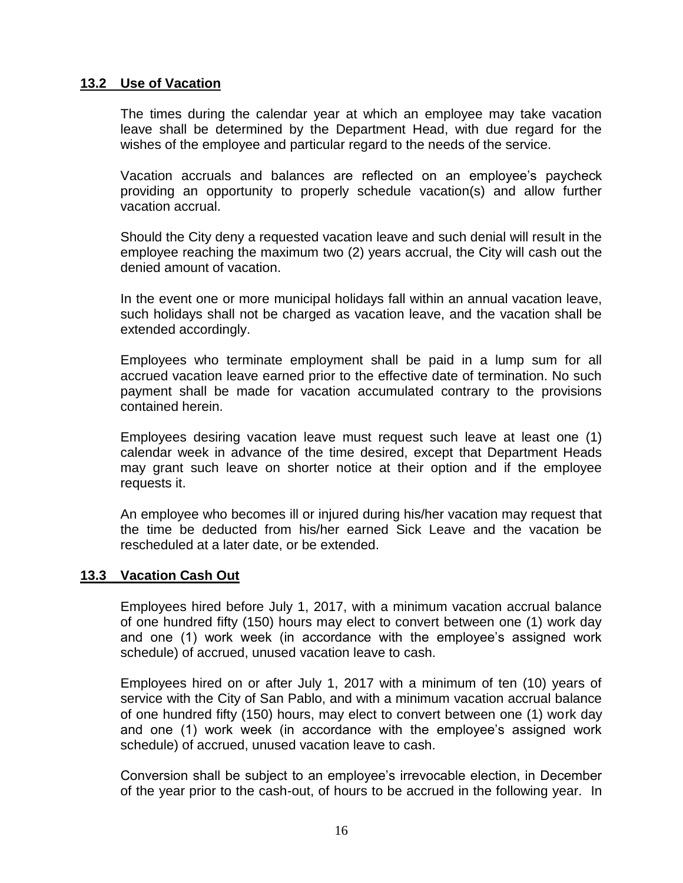### **13.2 Use of Vacation**

The times during the calendar year at which an employee may take vacation leave shall be determined by the Department Head, with due regard for the wishes of the employee and particular regard to the needs of the service.

Vacation accruals and balances are reflected on an employee's paycheck providing an opportunity to properly schedule vacation(s) and allow further vacation accrual.

Should the City deny a requested vacation leave and such denial will result in the employee reaching the maximum two (2) years accrual, the City will cash out the denied amount of vacation.

In the event one or more municipal holidays fall within an annual vacation leave, such holidays shall not be charged as vacation leave, and the vacation shall be extended accordingly.

Employees who terminate employment shall be paid in a lump sum for all accrued vacation leave earned prior to the effective date of termination. No such payment shall be made for vacation accumulated contrary to the provisions contained herein.

Employees desiring vacation leave must request such leave at least one (1) calendar week in advance of the time desired, except that Department Heads may grant such leave on shorter notice at their option and if the employee requests it.

An employee who becomes ill or injured during his/her vacation may request that the time be deducted from his/her earned Sick Leave and the vacation be rescheduled at a later date, or be extended.

#### **13.3 Vacation Cash Out**

Employees hired before July 1, 2017, with a minimum vacation accrual balance of one hundred fifty (150) hours may elect to convert between one (1) work day and one (1) work week (in accordance with the employee's assigned work schedule) of accrued, unused vacation leave to cash.

Employees hired on or after July 1, 2017 with a minimum of ten (10) years of service with the City of San Pablo, and with a minimum vacation accrual balance of one hundred fifty (150) hours, may elect to convert between one (1) work day and one (1) work week (in accordance with the employee's assigned work schedule) of accrued, unused vacation leave to cash.

Conversion shall be subject to an employee's irrevocable election, in December of the year prior to the cash-out, of hours to be accrued in the following year. In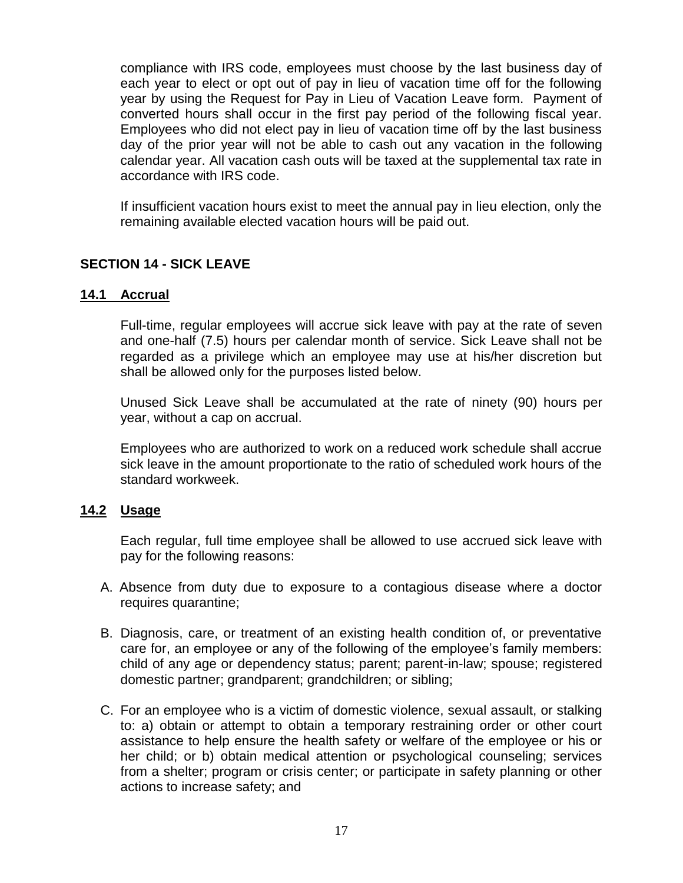compliance with IRS code, employees must choose by the last business day of each year to elect or opt out of pay in lieu of vacation time off for the following year by using the Request for Pay in Lieu of Vacation Leave form. Payment of converted hours shall occur in the first pay period of the following fiscal year. Employees who did not elect pay in lieu of vacation time off by the last business day of the prior year will not be able to cash out any vacation in the following calendar year. All vacation cash outs will be taxed at the supplemental tax rate in accordance with IRS code.

If insufficient vacation hours exist to meet the annual pay in lieu election, only the remaining available elected vacation hours will be paid out.

## <span id="page-18-0"></span>**SECTION 14 - SICK LEAVE**

#### **14.1 Accrual**

Full-time, regular employees will accrue sick leave with pay at the rate of seven and one-half (7.5) hours per calendar month of service. Sick Leave shall not be regarded as a privilege which an employee may use at his/her discretion but shall be allowed only for the purposes listed below.

Unused Sick Leave shall be accumulated at the rate of ninety (90) hours per year, without a cap on accrual.

Employees who are authorized to work on a reduced work schedule shall accrue sick leave in the amount proportionate to the ratio of scheduled work hours of the standard workweek.

#### **14.2 Usage**

Each regular, full time employee shall be allowed to use accrued sick leave with pay for the following reasons:

- A. Absence from duty due to exposure to a contagious disease where a doctor requires quarantine;
- B. Diagnosis, care, or treatment of an existing health condition of, or preventative care for, an employee or any of the following of the employee's family members: child of any age or dependency status; parent; parent-in-law; spouse; registered domestic partner; grandparent; grandchildren; or sibling;
- C. For an employee who is a victim of domestic violence, sexual assault, or stalking to: a) obtain or attempt to obtain a temporary restraining order or other court assistance to help ensure the health safety or welfare of the employee or his or her child; or b) obtain medical attention or psychological counseling; services from a shelter; program or crisis center; or participate in safety planning or other actions to increase safety; and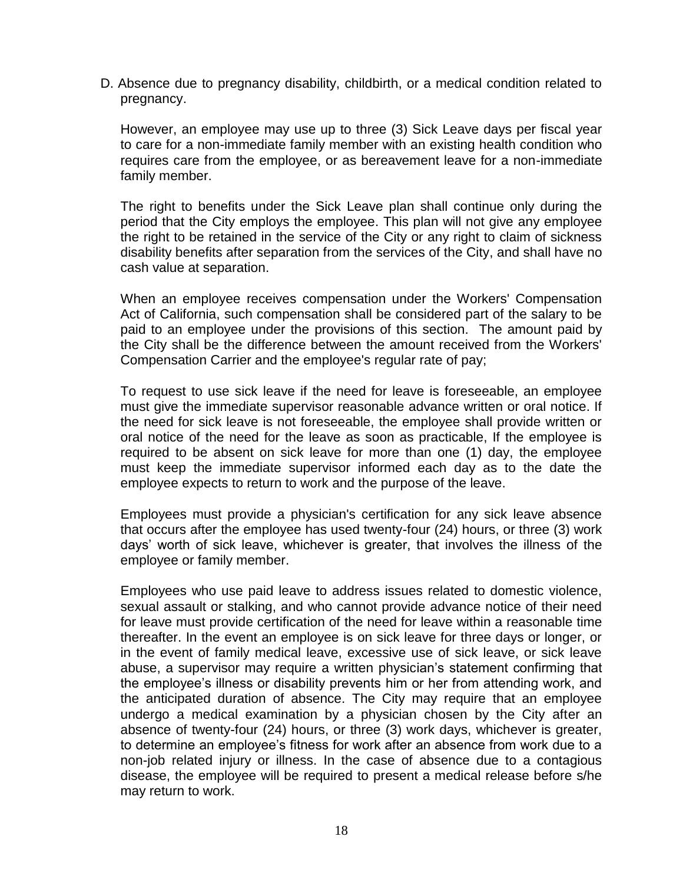D. Absence due to pregnancy disability, childbirth, or a medical condition related to pregnancy.

However, an employee may use up to three (3) Sick Leave days per fiscal year to care for a non-immediate family member with an existing health condition who requires care from the employee, or as bereavement leave for a non-immediate family member.

The right to benefits under the Sick Leave plan shall continue only during the period that the City employs the employee. This plan will not give any employee the right to be retained in the service of the City or any right to claim of sickness disability benefits after separation from the services of the City, and shall have no cash value at separation.

When an employee receives compensation under the Workers' Compensation Act of California, such compensation shall be considered part of the salary to be paid to an employee under the provisions of this section. The amount paid by the City shall be the difference between the amount received from the Workers' Compensation Carrier and the employee's regular rate of pay;

To request to use sick leave if the need for leave is foreseeable, an employee must give the immediate supervisor reasonable advance written or oral notice. If the need for sick leave is not foreseeable, the employee shall provide written or oral notice of the need for the leave as soon as practicable, If the employee is required to be absent on sick leave for more than one (1) day, the employee must keep the immediate supervisor informed each day as to the date the employee expects to return to work and the purpose of the leave.

Employees must provide a physician's certification for any sick leave absence that occurs after the employee has used twenty-four (24) hours, or three (3) work days' worth of sick leave, whichever is greater, that involves the illness of the employee or family member.

Employees who use paid leave to address issues related to domestic violence, sexual assault or stalking, and who cannot provide advance notice of their need for leave must provide certification of the need for leave within a reasonable time thereafter. In the event an employee is on sick leave for three days or longer, or in the event of family medical leave, excessive use of sick leave, or sick leave abuse, a supervisor may require a written physician's statement confirming that the employee's illness or disability prevents him or her from attending work, and the anticipated duration of absence. The City may require that an employee undergo a medical examination by a physician chosen by the City after an absence of twenty-four (24) hours, or three (3) work days, whichever is greater, to determine an employee's fitness for work after an absence from work due to a non-job related injury or illness. In the case of absence due to a contagious disease, the employee will be required to present a medical release before s/he may return to work.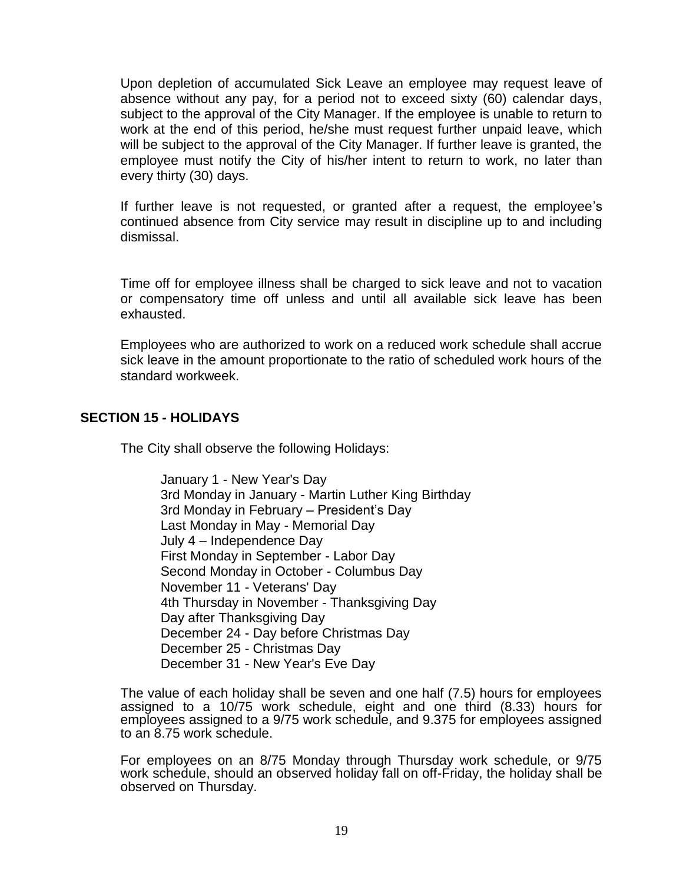Upon depletion of accumulated Sick Leave an employee may request leave of absence without any pay, for a period not to exceed sixty (60) calendar days, subject to the approval of the City Manager. If the employee is unable to return to work at the end of this period, he/she must request further unpaid leave, which will be subject to the approval of the City Manager. If further leave is granted, the employee must notify the City of his/her intent to return to work, no later than every thirty (30) days.

If further leave is not requested, or granted after a request, the employee's continued absence from City service may result in discipline up to and including dismissal.

Time off for employee illness shall be charged to sick leave and not to vacation or compensatory time off unless and until all available sick leave has been exhausted.

Employees who are authorized to work on a reduced work schedule shall accrue sick leave in the amount proportionate to the ratio of scheduled work hours of the standard workweek.

## <span id="page-20-0"></span>**SECTION 15 - HOLIDAYS**

The City shall observe the following Holidays:

January 1 - New Year's Day 3rd Monday in January - Martin Luther King Birthday 3rd Monday in February – President's Day Last Monday in May - Memorial Day July 4 – Independence Day First Monday in September - Labor Day Second Monday in October - Columbus Day November 11 - Veterans' Day 4th Thursday in November - Thanksgiving Day Day after Thanksgiving Day December 24 - Day before Christmas Day December 25 - Christmas Day December 31 - New Year's Eve Day

The value of each holiday shall be seven and one half (7.5) hours for employees assigned to a 10/75 work schedule, eight and one third (8.33) hours for employees assigned to a 9/75 work schedule, and 9.375 for employees assigned to an 8.75 work schedule.

For employees on an 8/75 Monday through Thursday work schedule, or 9/75 work schedule, should an observed holiday fall on off-Friday, the holiday shall be observed on Thursday.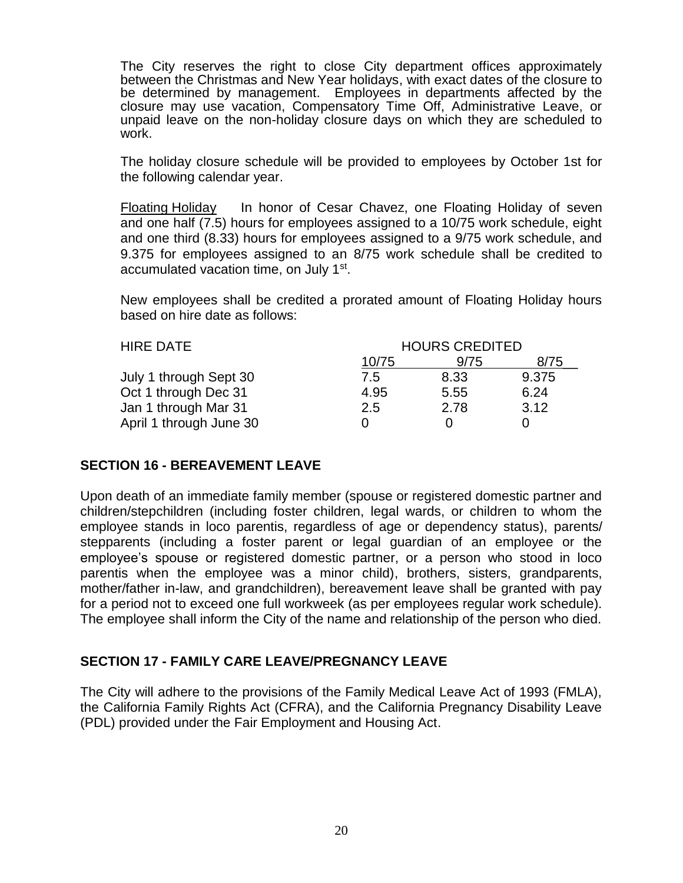The City reserves the right to close City department offices approximately between the Christmas and New Year holidays, with exact dates of the closure to be determined by management. Employees in departments affected by the closure may use vacation, Compensatory Time Off, Administrative Leave, or unpaid leave on the non-holiday closure days on which they are scheduled to work.

The holiday closure schedule will be provided to employees by October 1st for the following calendar year.

Floating Holiday In honor of Cesar Chavez, one Floating Holiday of seven and one half (7.5) hours for employees assigned to a 10/75 work schedule, eight and one third (8.33) hours for employees assigned to a 9/75 work schedule, and 9.375 for employees assigned to an 8/75 work schedule shall be credited to accumulated vacation time, on July 1<sup>st</sup>.

New employees shall be credited a prorated amount of Floating Holiday hours based on hire date as follows:

| <b>HIRE DATE</b>        | <b>HOURS CREDITED</b> |      |       |
|-------------------------|-----------------------|------|-------|
|                         | 10/75                 | 9/75 | 8/75  |
| July 1 through Sept 30  | 7.5                   | 8.33 | 9.375 |
| Oct 1 through Dec 31    | 4.95                  | 5.55 | 6.24  |
| Jan 1 through Mar 31    | 2.5                   | 2.78 | 3.12  |
| April 1 through June 30 |                       |      |       |

#### <span id="page-21-0"></span>**SECTION 16 - BEREAVEMENT LEAVE**

Upon death of an immediate family member (spouse or registered domestic partner and children/stepchildren (including foster children, legal wards, or children to whom the employee stands in loco parentis, regardless of age or dependency status), parents/ stepparents (including a foster parent or legal guardian of an employee or the employee's spouse or registered domestic partner, or a person who stood in loco parentis when the employee was a minor child), brothers, sisters, grandparents, mother/father in-law, and grandchildren), bereavement leave shall be granted with pay for a period not to exceed one full workweek (as per employees regular work schedule). The employee shall inform the City of the name and relationship of the person who died.

#### <span id="page-21-1"></span>**SECTION 17 - FAMILY CARE LEAVE/PREGNANCY LEAVE**

The City will adhere to the provisions of the Family Medical Leave Act of 1993 (FMLA), the California Family Rights Act (CFRA), and the California Pregnancy Disability Leave (PDL) provided under the Fair Employment and Housing Act.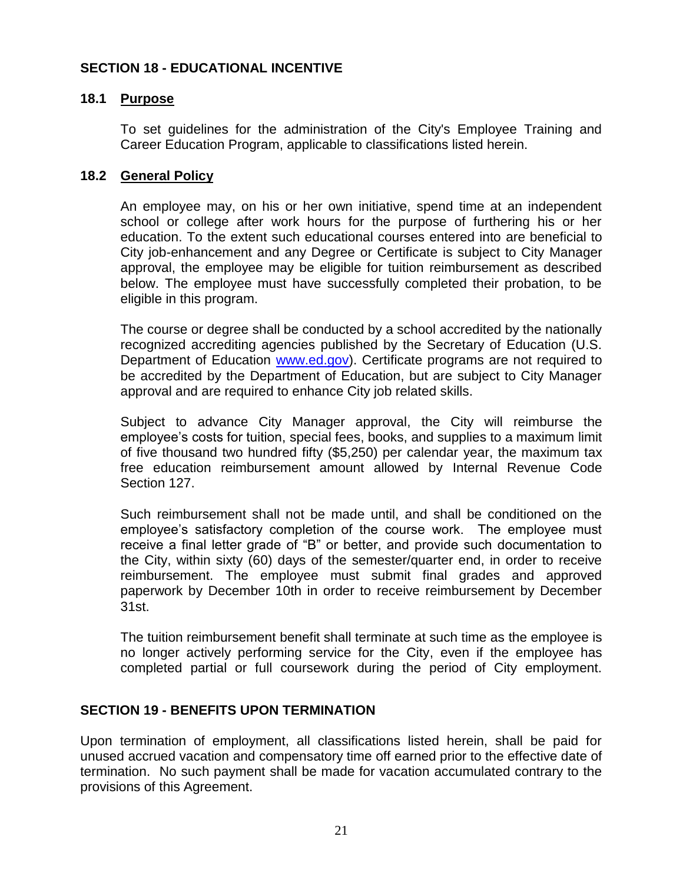## <span id="page-22-0"></span>**SECTION 18 - EDUCATIONAL INCENTIVE**

### **18.1 Purpose**

To set guidelines for the administration of the City's Employee Training and Career Education Program, applicable to classifications listed herein.

#### **18.2 General Policy**

An employee may, on his or her own initiative, spend time at an independent school or college after work hours for the purpose of furthering his or her education. To the extent such educational courses entered into are beneficial to City job-enhancement and any Degree or Certificate is subject to City Manager approval, the employee may be eligible for tuition reimbursement as described below. The employee must have successfully completed their probation, to be eligible in this program.

The course or degree shall be conducted by a school accredited by the nationally recognized accrediting agencies published by the Secretary of Education (U.S. Department of Education [www.ed.gov\)](http://www.ed.gov/). Certificate programs are not required to be accredited by the Department of Education, but are subject to City Manager approval and are required to enhance City job related skills.

Subject to advance City Manager approval, the City will reimburse the employee's costs for tuition, special fees, books, and supplies to a maximum limit of five thousand two hundred fifty (\$5,250) per calendar year, the maximum tax free education reimbursement amount allowed by Internal Revenue Code Section 127.

Such reimbursement shall not be made until, and shall be conditioned on the employee's satisfactory completion of the course work. The employee must receive a final letter grade of "B" or better, and provide such documentation to the City, within sixty (60) days of the semester/quarter end, in order to receive reimbursement. The employee must submit final grades and approved paperwork by December 10th in order to receive reimbursement by December 31st.

The tuition reimbursement benefit shall terminate at such time as the employee is no longer actively performing service for the City, even if the employee has completed partial or full coursework during the period of City employment.

#### <span id="page-22-1"></span>**SECTION 19 - BENEFITS UPON TERMINATION**

Upon termination of employment, all classifications listed herein, shall be paid for unused accrued vacation and compensatory time off earned prior to the effective date of termination. No such payment shall be made for vacation accumulated contrary to the provisions of this Agreement.